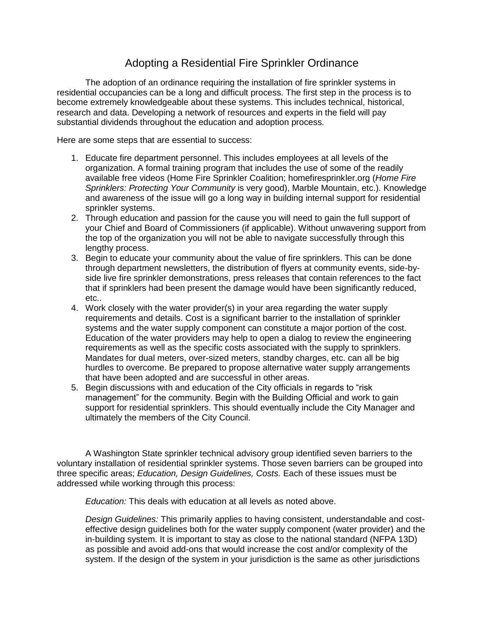## Adopting a Residential Fire Sprinkler Ordinance

The adoption of an ordinance requiring the installation of fire sprinkler systems in residential occupancies can be a long and difficult process. The first step in the process is to become extremely knowledgeable about these systems. This includes technical, historical, research and data. Developing a network of resources and experts in the field will pay substantial dividends throughout the education and adoption process.

Here are some steps that are essential to success:

- 1. Educate fire department personnel. This includes employees at all levels of the organization. A formal training program that includes the use of some of the readily available free videos (Home Fire Sprinkler Coalition; homefiresprinkler.org (*Home Fire Sprinklers: Protecting Your Community* is very good), Marble Mountain, etc.). Knowledge and awareness of the issue will go a long way in building internal support for residential sprinkler systems.
- 2. Through education and passion for the cause you will need to gain the full support of your Chief and Board of Commissioners (if applicable). Without unwavering support from the top of the organization you will not be able to navigate successfully through this lengthy process.
- 3. Begin to educate your community about the value of fire sprinklers. This can be done through department newsletters, the distribution of flyers at community events, side-byside live fire sprinkler demonstrations, press releases that contain references to the fact that if sprinklers had been present the damage would have been significantly reduced, etc..
- 4. Work closely with the water provider(s) in your area regarding the water supply requirements and details. Cost is a significant barrier to the installation of sprinkler systems and the water supply component can constitute a major portion of the cost. Education of the water providers may help to open a dialog to review the engineering requirements as well as the specific costs associated with the supply to sprinklers. Mandates for dual meters, over-sized meters, standby charges, etc. can all be big hurdles to overcome. Be prepared to propose alternative water supply arrangements that have been adopted and are successful in other areas.
- 5. Begin discussions with and education of the City officials in regards to "risk management" for the community. Begin with the Building Official and work to gain support for residential sprinklers. This should eventually include the City Manager and ultimately the members of the City Council.

A Washington State sprinkler technical advisory group identified seven barriers to the voluntary installation of residential sprinkler systems. Those seven barriers can be grouped into three specific areas; *Education, Design Guidelines, Costs.* Each of these issues must be addressed while working through this process:

*Education:* This deals with education at all levels as noted above.

*Design Guidelines:* This primarily applies to having consistent, understandable and costeffective design guidelines both for the water supply component (water provider) and the in-building system. It is important to stay as close to the national standard (NFPA 13D) as possible and avoid add-ons that would increase the cost and/or complexity of the system. If the design of the system in your jurisdiction is the same as other jurisdictions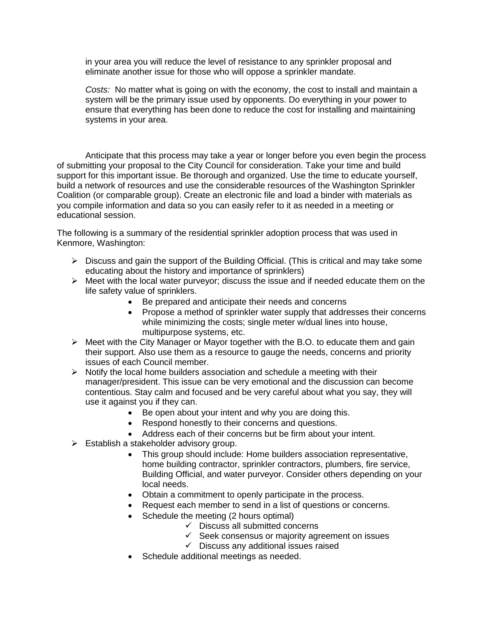in your area you will reduce the level of resistance to any sprinkler proposal and eliminate another issue for those who will oppose a sprinkler mandate.

*Costs:* No matter what is going on with the economy, the cost to install and maintain a system will be the primary issue used by opponents. Do everything in your power to ensure that everything has been done to reduce the cost for installing and maintaining systems in your area.

Anticipate that this process may take a year or longer before you even begin the process of submitting your proposal to the City Council for consideration. Take your time and build support for this important issue. Be thorough and organized. Use the time to educate yourself, build a network of resources and use the considerable resources of the Washington Sprinkler Coalition (or comparable group). Create an electronic file and load a binder with materials as you compile information and data so you can easily refer to it as needed in a meeting or educational session.

The following is a summary of the residential sprinkler adoption process that was used in Kenmore, Washington:

- $\triangleright$  Discuss and gain the support of the Building Official. (This is critical and may take some educating about the history and importance of sprinklers)
- $\triangleright$  Meet with the local water purveyor; discuss the issue and if needed educate them on the life safety value of sprinklers.
	- Be prepared and anticipate their needs and concerns
	- Propose a method of sprinkler water supply that addresses their concerns while minimizing the costs; single meter w/dual lines into house, multipurpose systems, etc.
- $\triangleright$  Meet with the City Manager or Mayor together with the B.O. to educate them and gain their support. Also use them as a resource to gauge the needs, concerns and priority issues of each Council member.
- $\triangleright$  Notify the local home builders association and schedule a meeting with their manager/president. This issue can be very emotional and the discussion can become contentious. Stay calm and focused and be very careful about what you say, they will use it against you if they can.
	- Be open about your intent and why you are doing this.
	- Respond honestly to their concerns and questions.
	- Address each of their concerns but be firm about your intent.
- $\triangleright$  Establish a stakeholder advisory group.
	- This group should include: Home builders association representative, home building contractor, sprinkler contractors, plumbers, fire service, Building Official, and water purveyor. Consider others depending on your local needs.
	- Obtain a commitment to openly participate in the process.
	- Request each member to send in a list of questions or concerns.
	- Schedule the meeting (2 hours optimal)
		- $\checkmark$  Discuss all submitted concerns
		- $\checkmark$  Seek consensus or majority agreement on issues
		- $\checkmark$  Discuss any additional issues raised
	- Schedule additional meetings as needed.